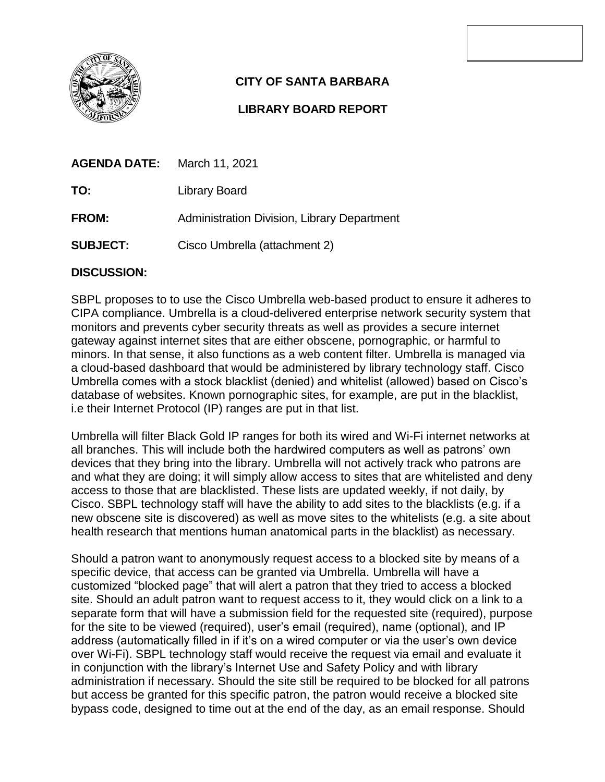

## **CITY OF SANTA BARBARA**

## **LIBRARY BOARD REPORT**

| <b>AGENDA DATE:</b> | March 11, 2021                              |
|---------------------|---------------------------------------------|
| TO:                 | Library Board                               |
| <b>FROM:</b>        | Administration Division, Library Department |
| <b>SUBJECT:</b>     | Cisco Umbrella (attachment 2)               |

## **DISCUSSION:**

SBPL proposes to to use the Cisco Umbrella web-based product to ensure it adheres to CIPA compliance. Umbrella is a cloud-delivered enterprise network security system that monitors and prevents cyber security threats as well as provides a secure internet gateway against internet sites that are either obscene, pornographic, or harmful to minors. In that sense, it also functions as a web content filter. Umbrella is managed via a cloud-based dashboard that would be administered by library technology staff. Cisco Umbrella comes with a stock blacklist (denied) and whitelist (allowed) based on Cisco's database of websites. Known pornographic sites, for example, are put in the blacklist, i.e their Internet Protocol (IP) ranges are put in that list.

Umbrella will filter Black Gold IP ranges for both its wired and Wi-Fi internet networks at all branches. This will include both the hardwired computers as well as patrons' own devices that they bring into the library. Umbrella will not actively track who patrons are and what they are doing; it will simply allow access to sites that are whitelisted and deny access to those that are blacklisted. These lists are updated weekly, if not daily, by Cisco. SBPL technology staff will have the ability to add sites to the blacklists (e.g. if a new obscene site is discovered) as well as move sites to the whitelists (e.g. a site about health research that mentions human anatomical parts in the blacklist) as necessary.

Should a patron want to anonymously request access to a blocked site by means of a specific device, that access can be granted via Umbrella. Umbrella will have a customized "blocked page" that will alert a patron that they tried to access a blocked site. Should an adult patron want to request access to it, they would click on a link to a separate form that will have a submission field for the requested site (required), purpose for the site to be viewed (required), user's email (required), name (optional), and IP address (automatically filled in if it's on a wired computer or via the user's own device over Wi-Fi). SBPL technology staff would receive the request via email and evaluate it in conjunction with the library's Internet Use and Safety Policy and with library administration if necessary. Should the site still be required to be blocked for all patrons but access be granted for this specific patron, the patron would receive a blocked site bypass code, designed to time out at the end of the day, as an email response. Should